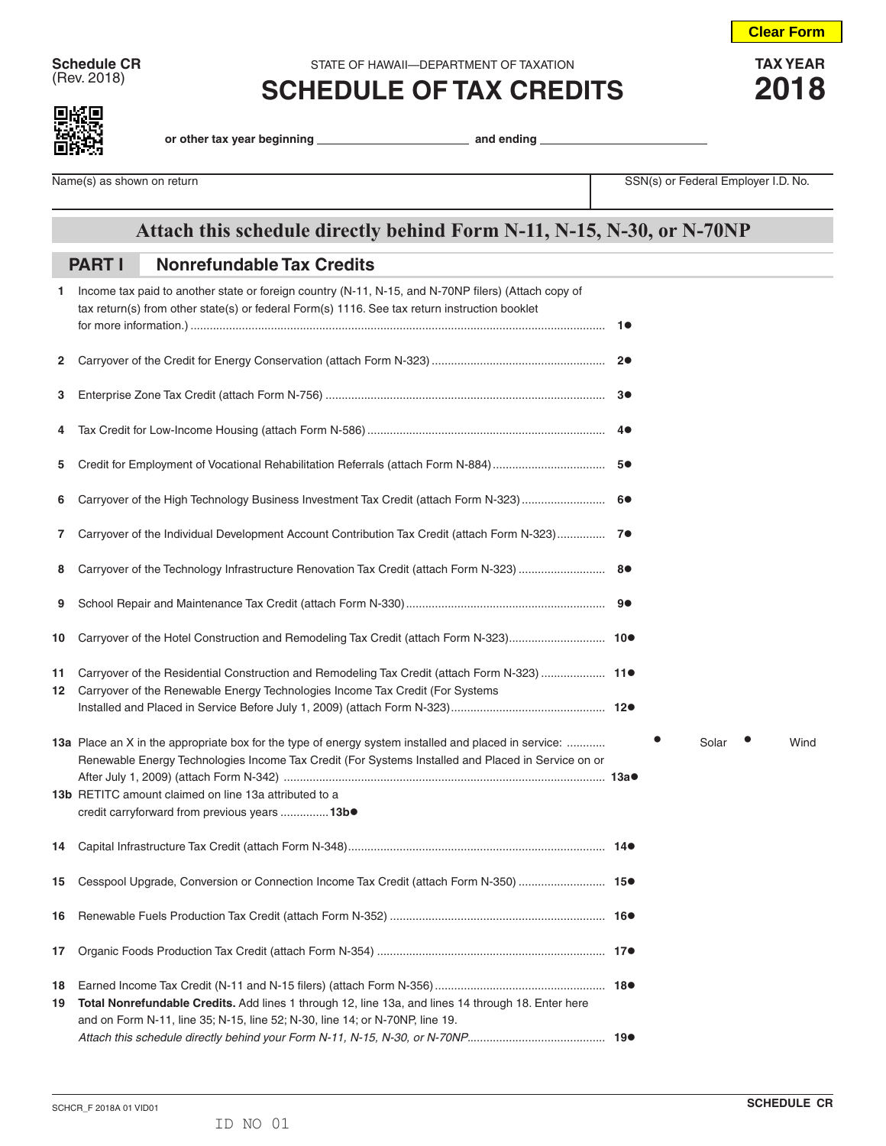**Schedule CR** STATE OF HAWAII—DEPARTMENT OF TAXATION **TAX YEAR**<br>
(Rev. 2018) **COLLEDILLE OF TAY ODEDITO** 

## $\frac{1}{2018}$  **SCHEDULE OF TAX CREDITS** 2018

**Clear Form**

**or other tax year beginning and ending** 

Name(s) as shown on return **Name(s)** as shown on return SSN(s) or Federal Employer I.D. No.

## **Attach this schedule directly behind Form N-11, N-15, N-30, or N-70NP**

## **Nonrefundable Tax Credits PART I**

| 1        | Income tax paid to another state or foreign country (N-11, N-15, and N-70NP filers) (Attach copy of<br>tax return(s) from other state(s) or federal Form(s) 1116. See tax return instruction booklet                                                                |  |       |      |
|----------|---------------------------------------------------------------------------------------------------------------------------------------------------------------------------------------------------------------------------------------------------------------------|--|-------|------|
| 2        |                                                                                                                                                                                                                                                                     |  |       |      |
| 3        |                                                                                                                                                                                                                                                                     |  |       |      |
| 4        |                                                                                                                                                                                                                                                                     |  |       |      |
| 5        |                                                                                                                                                                                                                                                                     |  |       |      |
| 6        | Carryover of the High Technology Business Investment Tax Credit (attach Form N-323)  6●                                                                                                                                                                             |  |       |      |
| 7.       | Carryover of the Individual Development Account Contribution Tax Credit (attach Form N-323) 7                                                                                                                                                                       |  |       |      |
| 8        |                                                                                                                                                                                                                                                                     |  |       |      |
| 9        |                                                                                                                                                                                                                                                                     |  |       |      |
| 10       |                                                                                                                                                                                                                                                                     |  |       |      |
| 11<br>12 | Carryover of the Residential Construction and Remodeling Tax Credit (attach Form N-323)  11●<br>Carryover of the Renewable Energy Technologies Income Tax Credit (For Systems                                                                                       |  |       |      |
|          | 13a Place an X in the appropriate box for the type of energy system installed and placed in service:<br>Renewable Energy Technologies Income Tax Credit (For Systems Installed and Placed in Service on or<br>13b RETITC amount claimed on line 13a attributed to a |  | Solar | Wind |
|          | credit carryforward from previous years  13b.                                                                                                                                                                                                                       |  |       |      |
| 14       |                                                                                                                                                                                                                                                                     |  |       |      |
| 15       | Cesspool Upgrade, Conversion or Connection Income Tax Credit (attach Form N-350)  15.                                                                                                                                                                               |  |       |      |
|          |                                                                                                                                                                                                                                                                     |  |       |      |
| 17       |                                                                                                                                                                                                                                                                     |  |       |      |
| 18<br>19 | Total Nonrefundable Credits. Add lines 1 through 12, line 13a, and lines 14 through 18. Enter here<br>and on Form N-11, line 35; N-15, line 52; N-30, line 14; or N-70NP, line 19.                                                                                  |  |       |      |
|          |                                                                                                                                                                                                                                                                     |  |       |      |